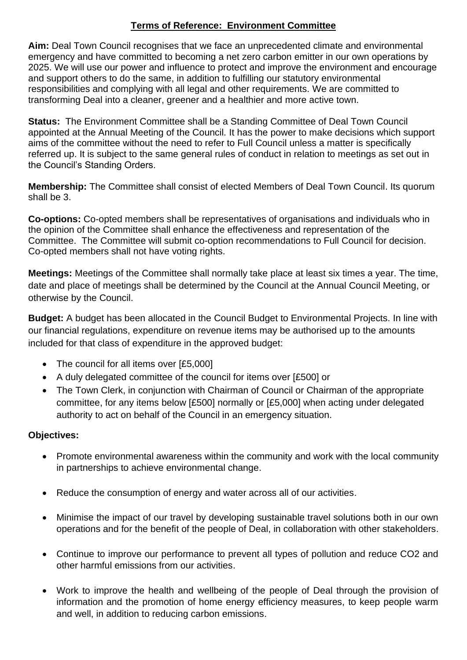## **Terms of Reference: Environment Committee**

**Aim:** Deal Town Council recognises that we face an unprecedented climate and environmental emergency and have committed to becoming a net zero carbon emitter in our own operations by 2025. We will use our power and influence to protect and improve the environment and encourage and support others to do the same, in addition to fulfilling our statutory environmental responsibilities and complying with all legal and other requirements. We are committed to transforming Deal into a cleaner, greener and a healthier and more active town.

**Status:** The Environment Committee shall be a Standing Committee of Deal Town Council appointed at the Annual Meeting of the Council. It has the power to make decisions which support aims of the committee without the need to refer to Full Council unless a matter is specifically referred up. It is subject to the same general rules of conduct in relation to meetings as set out in the Council's Standing Orders.

**Membership:** The Committee shall consist of elected Members of Deal Town Council. Its quorum shall be 3.

**Co-options:** Co-opted members shall be representatives of organisations and individuals who in the opinion of the Committee shall enhance the effectiveness and representation of the Committee. The Committee will submit co-option recommendations to Full Council for decision. Co-opted members shall not have voting rights.

**Meetings:** Meetings of the Committee shall normally take place at least six times a year. The time, date and place of meetings shall be determined by the Council at the Annual Council Meeting, or otherwise by the Council.

**Budget:** A budget has been allocated in the Council Budget to Environmental Projects. In line with our financial regulations, expenditure on revenue items may be authorised up to the amounts included for that class of expenditure in the approved budget:

- The council for all items over [£5,000]
- A duly delegated committee of the council for items over [£500] or
- The Town Clerk, in conjunction with Chairman of Council or Chairman of the appropriate committee, for any items below [£500] normally or [£5,000] when acting under delegated authority to act on behalf of the Council in an emergency situation.

## **Objectives:**

- Promote environmental awareness within the community and work with the local community in partnerships to achieve environmental change.
- Reduce the consumption of energy and water across all of our activities.
- Minimise the impact of our travel by developing sustainable travel solutions both in our own operations and for the benefit of the people of Deal, in collaboration with other stakeholders.
- Continue to improve our performance to prevent all types of pollution and reduce CO2 and other harmful emissions from our activities.
- Work to improve the health and wellbeing of the people of Deal through the provision of information and the promotion of home energy efficiency measures, to keep people warm and well, in addition to reducing carbon emissions.